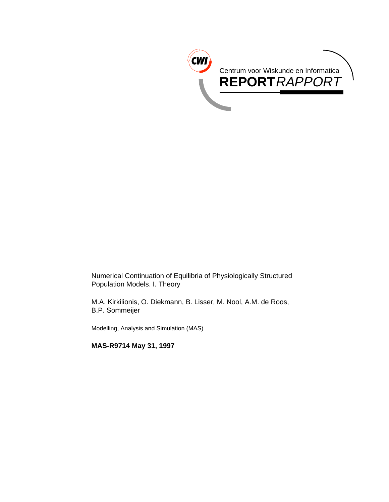

Numerical Continuation of Equilibria of Physiologically Structured Population Models. I. Theory

M.A. Kirkilionis, O. Diekmann, B. Lisser, M. Nool, A.M. de Roos, B.P. Sommeijer

Modelling, Analysis and Simulation (MAS)

**MAS-R9714 May 31, 1997**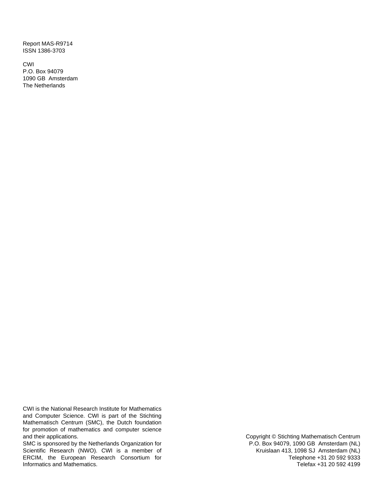Report MAS-R9714 ISSN 1386-3703

CWI P.O. Box 94079 1090 GB Amsterdam The Netherlands

CWI is the National Research Institute for Mathematics and Computer Science. CWI is part of the Stichting Mathematisch Centrum (SMC), the Dutch foundation for promotion of mathematics and computer science and their applications.

SMC is sponsored by the Netherlands Organization for Scientific Research (NWO). CWI is a member of ERCIM, the European Research Consortium for Informatics and Mathematics.

Copyright © Stichting Mathematisch Centrum P.O. Box 94079, 1090 GB Amsterdam (NL) Kruislaan 413, 1098 SJ Amsterdam (NL) Telephone +31 20 592 9333 Telefax +31 20 592 4199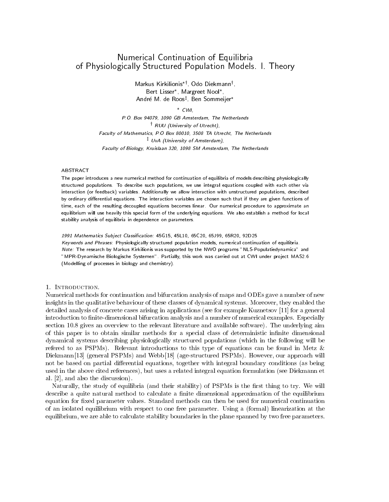# Numerical Continuation of Equilibria of Physiologically Structured Population Models. I. Theory

Markus Kirkilionis\*<sup>†</sup>, Odo Diekmann<sup>†</sup>, , Bert Lisser , Margreet Nool , Andre M. de Roosz , Ben Sommeijer

CWI,

P.O. Box 94079, 1090 GB Amsterdam, The Netherlands <sup>y</sup> RUU (University of Utrecht), Faculty of Mathematics, P.O Box 80010, 3508 TA Utrecht, The Netherlands <sup>z</sup> UvA (University of Amsterdam), Faculty of Biology, Kruislaan 320, 1098 SM Amsterdam, The Netherlands

#### ABSTRACT

The paper introduces a new numerical method for continuation of equilibria of models describing physiologically structured populations. To describe such populations, we use integral equations coupled with each other via interaction (or feedback) variables. Additionally we allow interaction with unstructured populations, described by ordinary differential equations. The interaction variables are chosen such that if they are given functions of time, each of the resulting decoupled equations becomes linear. Our numerical procedure to approximate an equilibrium will use heavily this special form of the underlying equations. We also establish a method for local stability analysis of equilibria in dependence on parameters.

1991 Mathematics Subject Classication: 45G15, 45L10, 65C20, 65J99, 65R20, 92D25 Keywords and Phrases: Physiologically structured population models, numerical continuation of equilibria. Note: The research by Markus Kirkilionis was supported by the NWO programs "NLS-Populatiedynamica" and "MPR-Dynamische Biologische Systemen". Partially, this work was carried out at CWI under project MAS2.6 (Modelling of processes in biology and chemistry).

Numerical methods for continuation and bifurcation analysis of maps and ODEs gave a number of new insights in the qualitative behaviour of these classes of dynamical systems. Moreover, they enabled the detailed analysis of concrete cases arising in applications (see for example Kuznetsov [11] for a general introduction to finite-dimensional bifurcation analysis and a number of numerical examples. Especially section 10.8 gives an overview to the relevant literature and available software). The underlying aim of this paper is to obtain similar methods for a special class of deterministic infinite dimensional dynamical systems describing physiologically structured populations (which in the following will be refered to as PSPMs). Relevant introductions to this type of equations can be found in Metz & Diekmann [13] (general PSPMs) and Webb [18] (age-structured PSPMs). However, our approach will not be based on partial differential equations, together with integral boundary conditions (as being used in the above cited references), but uses a related integral equation formulation (see Diekmann et al. [2], and also the discussion).

Naturally, the study of equilibria (and their stability) of PSPMs is the first thing to try. We will describe a quite natural method to calculate a finite dimensional approximation of the equilibrium equation for fixed parameter values. Standard methods can then be used for numerical continuation of an isolated equilibrium with respect to one free parameter. Using a (formal) linearization at the equilibrium, we are able to calculate stability boundaries in the plane spanned by two free parameters.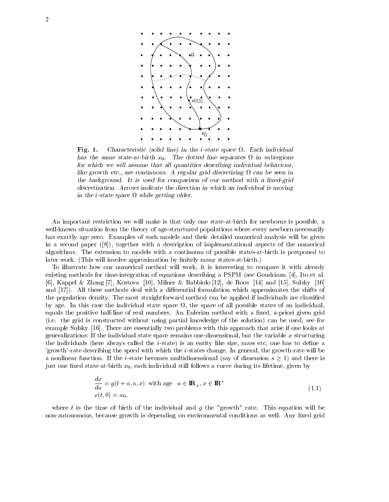

Fig. 1. Characteristic (solid line) in the i-state space . Each individual has the same state-at-birth  $\alpha$ . The dotted line separates  $\alpha$ . for which we will assume that all quantities describing individual behaviour, like growth etc., are continuous. A regular grid discretizing can be seen in the background. It is used for comparison of our method with a fixed-grid discretization. Arrows indicate the direction in which an individual is moving in the i-state space while getting older.

An important restriction we will make is that only one state-at-birth for newborns is possible, a well-known situation from the theory of age-structured populations where every newborn necessarily has exactly age zero. Examples of such models and their detailed numerical analysis will be given in a second paper ([8]), together with a description of implementational aspects of the numerical algorithms. The extension to models with a continuum of possible states-at-birth is postponed to later work. (This will involve approximation by finitely many states at-birth.)

To illustrate how our numerical method willwork, it is interesting to compare it with already existing methods for time-integration of equations describing a PSPM (see Goudriaan [4], Ito et al. [6], Kappel & Zhang [7], Kostova [10], Milner & Rabbiolo [12], de Roos [14] and [15], Sulsky [16] and  $[17]$ ). All these methods deal with a differential formulation which approximates the shifts of the population density. The most straightforward method can be applied if individuals are classied by age. In this case the individual state space , the space of all possible states of an individual, equals the positive half-line of real numbers. An Eulerian method with a fixed, a-priori given grid (i.e. the grid is constructed without using partial knowledge of the solution) can be used, see for example Sulsky [16]. There are essentially two problems with this approach that arise if one looks at generalizations: If the individual state space remains one-dimensional, but the variable  $x$  structuring the individuals (here always called the *i*-state) is an entity like size, mass etc, one has to define a 'growth'-rate describing the speed with which the i-states change. In general, the growth-rate will be a nonlinear function. If the i-state becomes multiplied multidimensional (say of dimensional s  $\pm$  ) and there is just one fixed state-at-birth  $x_0$ , each individual still follows a curve during its lifetime, given by

$$
\frac{dx}{da} = g(t + a, a, x) \text{ with age } a \in \mathbb{IR}_+, x \in \mathbb{IR}^s
$$
  

$$
x(t, 0) = x_0,
$$
 (1.1)

where t is the time of birth of the individual and g the "growth" rate. This equation will be non-autonomous, because growth is depending on environmental conditions as well. Any fixed grid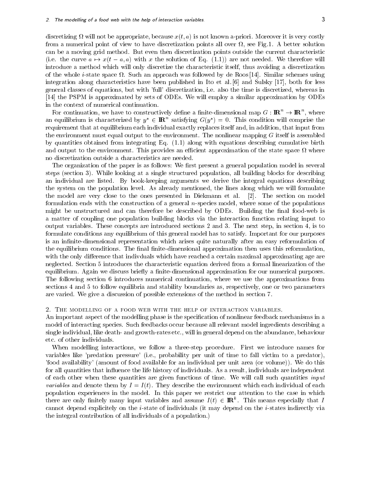discretizing and appropriate, because x(t; a) is not known a-priori. Moreover it is very costly in the costly of from a numerical point of view to have discretization points all over , see Fig.1. A better solution can be a moving grid method. But even then discretization points outside the current characteristic (i.e. the curve a  $\alpha$  as  $\alpha$  and  $\alpha$  and solution of Eq. (1.1)) are not needed. We therefore will introduce a method which will only discretize the characteristic itself, thus avoiding a discretization . Such an approach whole space is space the space and space is the Roose of the Roose party was followed the S integration along characteristics have been published in Ito et al. [6] and Sulsky [17], both for less general classes of equations, but with 'full' discretization, i.e. also the time is discretized, whereas in [14] the PSPM is approximated by sets of ODEs. We will employ a similar approximation by ODEs in the context of numerical continuation.

For continuation, we have to constructively define a finite-dimensional map  $G: \mathbf{I\!R}^+ \to \mathbf{I\!R}^+,$  where an equilibrium is characterized by  $y^* \in \textbf{IR}^+$  satisfying  $G(y^*) = 0$ . This condition will comprise the requirement that at equilibrium each individual exactly replaces itself and, in addition, that input from the environment must equal output to the environment. The nonlinear mapping  $G$  itself is assembled by quantities obtained from integrating Eq. (1.1) along with equations describing cumulative birth and output to the environment. This provides an ecient approximation of the state space where no discretization outside a characteristics are needed.

The organization of the paper is as follows: We first present a general population model in several steps (section 3). While looking at a single structured population, all building blocks for describing an individual are listed. By book-keeping arguments we derive the integral equations describing the system on the population level. As already mentioned, the lines along which we will formulate the model are very close to the ones presented in Diekmann etal. [2]. The section on model formulation ends with the construction of a general n-species model, where some of the populations might be unstructured and can therefore be described by ODEs. Building the final food-web is a matter of coupling one population building blocks via the interaction function relating input to output variables. These concepts are introduced sections 2 and 3. The next step, in section 4, is to formulate conditions any equilibrium of this general model has to satisfy. Important for our purposes is an infinite-dimensional representation which arises quite naturally after an easy reformulation of the equilibrium conditions. The final finite-dimensional approximation then uses this reformulation, with the only difference that indivduals which have reached a certain maximal approximating age are neglected. Section 5 introduces the characteristic equation derived from a formal linearization of the equilibrium. Again we discuss briefly a finite-dimensional approximation for our numerical purposes. The following section 6 introduces numerical continuation, where we use the approximations from sections 4 and 5 to follow equilibria and stability boundaries as, respectively, one or two parameters are varied. We give a discussion of possible extensions of the method in section 7.

#### 2. The modelling of a food web with the help of interaction variables.

An important aspect of the modelling phase is the specification of nonlinear feedback mechanisms in a model of interacting species. Such feedbacks occur because all relevant model ingredients describing a single individual, like death- and growth-rates etc., will in general depend on the abundance, behaviour etc. of other individuals.

When modelling interactions, we follow a three-step procedure. First we introduce names for variables like 'predation pressure' (i.e., probability per unit of time to fall victim to a predator), 'food availability' (amount of food available for an individual per unit area (or volume)). We do this for all quantities that influence the life history of individuals. As a result, individuals are independent of each other when these quantities are given functions of time. We will call such quantities input *variables* and denote them by  $I = I(t)$ . They describe the environment which each individual of each population experiences in the model. In this paper we restrict our attention to the case in which there are only finitely many input variables and assume  $I(t) \in \textbf{I\!R}^n$  . This means especially that I cannot depend explicitely on the i-state of individuals (it may depend on the i-states indirectly via the integral contribution of all individuals of a population.)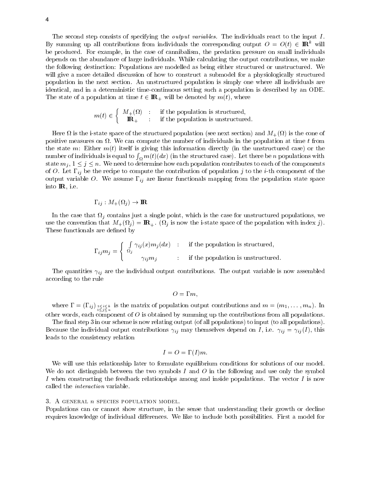The second step consists of specifying the *output variables*. The individuals react to the input I. By summing up all contributions from individuals the corresponding output  $O = O(t) \in {\bf I\!R}$  will be produced. For example, in the case of cannibalism, the predation pressure on small individuals depends on the abundance of large individuals. While calculating the output contributions, we make the following destinction: Populations are modelled as being either structured or unstructured. We will give a more detailed discussion of how to construct a submodel for a physiologically structured population in the next section. An unstructured population is simply one where all individuals are identical, and in a deterministic time-continuous setting such a population is described by an ODE.

$$
m(t) \in \left\{ \begin{array}{l l} M_+(\Omega) & : & \text{if the population is structured,} \\ \mathbf{IR}_+ & : & \text{if the population is unstructured.} \end{array} \right.
$$

The state of a population at time time the state of  $\mathcal{A}$  is where  $\mathcal{A}$ 

Here is the i-state space of the structured population (see next section) and M+( ) is the cone of positive measures on . We can compute the number of individuals in the population at time tfrom the state m: Either  $m(t)$  itself is giving this information directly (in the unstructured case) or the number of individuals is equal to  $\int_\Omega m(t)(dx)$  (in the structured case). Let there be  $n$  populations with state measurement measurement of the components to determine how each population contributes to each of the components of the components of the components of the components of the components of the components of the compo of O. Let  $\Gamma_{ij}$  be the recipe to compute the contribution of population j to the *i*-th component of the output variable O. We assume  $\Gamma_{ij}$  are linear functionals mapping from the population state space into IR, i.e.

$$
\Gamma_{ij}: M_+(\Omega_j) \to \mathbf{I\!R}
$$

j contains just a single point, which is the case for unstructured populations, we unstructured populations, we unstructured populations, we unstructured populations, we use  $\mathcal{L}$ is the convention that  $\mathbf{y}$  is now the population with index  $\mathbf{y}$ . These functionals are defined by

$$
\Gamma_{ij} m_j = \begin{cases} \int_{\Omega_j} \gamma_{ij}(x) m_j(dx) & \text{if the population is structured,} \\ \gamma_{ij} m_j & \text{if the population is unstructured.} \end{cases}
$$

The quantities  $\gamma_{ij}$  are the individual output contributions. The output variable is now assembled according to the rule

$$
O=\Gamma m,
$$

where  $=$   $\frac{(-i)^j}{1\zeta_j\overline{\zeta_n}}$  is the matrix of population output contributions and m  $(x_1,...,x_n)$ . In other words, each component of  $O$  is obtained by summing up the contributions from all populations.

The final step 3 in our scheme is now relating output (of all populations) to input (to all populations). Because the individual output contributions  $\gamma_{ij}$  may themselves depend on I, i.e.  $\gamma_{ij} = \gamma_{ij}(I)$ , this leads to the consistency relation

$$
I = O = \Gamma(I)m.
$$

We will use this relationship later to formulate equilibrium conditions for solutions of our model. We do not distinguish between the two symbols I and O in the following and use only the symbol I when constructing the feedback relationships among and inside populations. The vector  $I$  is now called the interaction variable.

## $3.$  A GENERAL  $n$  SPECIES POPULATION MODEL.

Populations can or cannot show structure, in the sense that understanding their growth or decline requires knowledge of individual differences. We like to include both possibilities. First a model for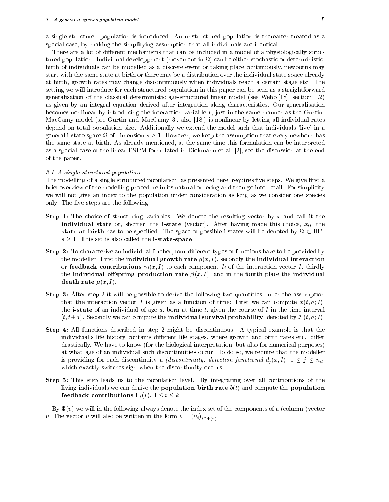a single structured population is introduced. An unstructured population is thereafter treated as a special case, by making the simplifying assumption that all individuals are identical.

There are a lot of different mechanisms that can be included in a model of a physiologically structured population. Individual developpment (movement in ) can be either stochastic or deterministic, birth of individuals can be modelled as a discrete event or taking place continuously, newborns may start with the same state at birth or there may be a distribution over the individual state space already at birth, growth rates may change discontinuously when individuals reach a certain stage etc. The setting we will introduce for each structured population in this paper can be seen as a straightforward generalisation of the classical deterministic age-structured linear model (see Webb [18], section 1.2) as given by an integral equation derived after integration along characteristics. Our generalisation becomes nonlinear by introducing the interaction variable  $I$ , just in the same manner as the Gurtin-MacCamy model (see Gurtin and MacCamy [3], also [18]) is nonlinear by letting all individual rates depend on total population size. Additionally we extend the model such that individuals 'live' in a  $\circ$  dimension s  $\cdot$  as the assumption s  $\equiv$  as the assumption that every new computation that every new  $\sim$ the same state-at-birth. As already mentioned, at the same time this formulation can be interpreted as a special case of the linear PSPM formulated in Diekmann et al. [2], see the discussion at the end of the paper.

## 3.1 A single structured population

The modelling of a single structured population, as presented here, requires five steps. We give first a brief overview of the modelling procedure in its natural ordering and then go into detail. For simplicity we will not give an index to the population under consideration as long as we consider one species only. The five steps are the following:

- **Step 1:** The choice of structuring variables. We denote the resulting vector by x and call it the individual state or, shorter, the i-state (vector). After having made this choice,  $x_0$ , the  ${\bf state}\text{-}{\bf att}$  birth has to be specified. The space of possible i-states will be denoted by  $M\subset {\bf I\!R}^+,\,$  $s \geq 1$ . This set is also called the **i-state-space**.
- Step 2: To characterize an individual further, four different types of functions have to be provided by the modeller: First the **individual growth rate**  $g(x, I)$ , secondly the **individual interaction** or **feedback contributions**  $\gamma_i(x, I)$  to each component  $I_i$  of the interaction vector I, thirdly the individual offspring production rate  $\beta(x, I)$ , and in the fourth place the individual death rate  $\mu(x, I)$ .
- Step 3: After step 2 it will be possible to derive the following two quantities under the assumption that the interaction vector I is given as a function of time: First we can compute  $x(t, a; I)$ , the **i-state** of an individual of age  $a$ , born at time  $t$ , given the course of  $I$  in the time interval [t; t+a). Secondly we can compute the individual survival survival probability, denoted by F(t; a; I ).
- Step 4: All functions described in step 2 might be discontinuous. A typical example is that the individual's life history contains different life stages, where growth and birth rates etc. differ drastically. We have to know (for the biological interpretation, but also for numerical purposes) at what age of an individual such discontinuities occur. To do so, we require that the modeller is providing for each discontinuity a (discontinuity) detection  $j$  discontinuity (x; I  $\rho$  ),  $1$   $\sim$   $j$   $\sim$   $\sim$   $\sim$   $\sim$ which exactly switches sign when the discontinuity occurs.
- Step 5: This step leads us to the population level. By integrating over all contributions of the living individuals we can derive the **population birth rate**  $b(t)$  and compute the **population** feedback contributions  $\Gamma_i(I)$ ,  $1 \leq i \leq k$ . i k.a. 1995. samanin kanal samanin kanal samanin kanal samanin kanal samanin kanal samanin kanal samanin kanal

By  $\Phi(v)$  we will in the following always denote the index set of the components of a (column-)vector . The vector v will also be will also be will be will be written in the form  $\{f(t)\}$ 

 $\sim$   $\sim$   $\sim$   $\sim$   $\sim$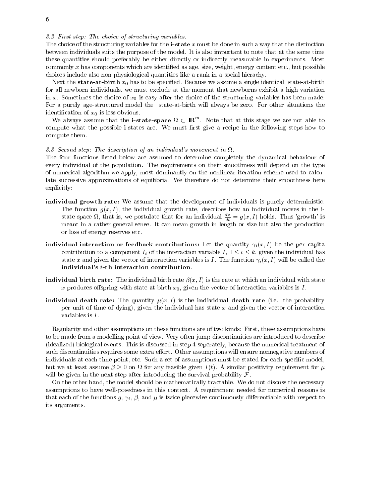3.2 First step: The choice of structuring variables.

The choice of the structuring variables for the **i-state** x must be done in such a way that the distinction between individuals suits the purpose of the model. It is also important to note that at the same time these quantities should preferably be either directly or indirectly measurable in experiments. Most commonly x has components which are identified as age, size, weight, energy content etc., but possible choices include also non-physiological quantities like a rank in a social hierachy.

Next the **state-at-birth**  $x_0$  has to be specified. Because we assume a single identical state-at-birth for all newborn individuals, we must exclude at the moment that newborns exhibit a high variation in x. Sometimes the choice of  $x_0$  is easy after the choice of the structuring variables has been made: For a purely age-structured model the state-at-birth will always be zero. For other situations the identification of  $x_0$  is less obvious.

We always assume that the **1-state-space**  $\mathcal{U} \subset \mathbf{I\!R}$ . Note that at this stage we are not able to compute what the possible i-states are. We must first give a recipe in the following steps how to compute them.

#### 3.3 Second step: The description of an individual's movement in  $\Omega$ .

The four functions listed below are assumed to determine completely the dynamical behaviour of every individual of the population. The requirements on their smoothness will depend on the type of numerical algorithm we apply, most dominantly on the nonlinear iteration scheme used to calculate successive approximations of equilibria. We therefore do not determine their smoothness here explicitly:

- individual growth rate: We assume that the development of individuals is purely deterministic. The function  $g(x, I)$ , the individual growth rate, describes how an individual moves in the istate space  $\Omega$ , that is, we postulate that for an individual  $\frac{dx}{dt} = g(x, I)$  holds. Thus 'growth' is meant in a rather general sense. It can mean growth in length or size but also the production or loss of energy reserves etc.
- individual interaction or feedback contributions: Let the quantity  $\gamma_i(x, I)$  be the per capita contribution to a component  $\mathsf{I}_k$  of the interaction variable  $\mathsf{I}_k$  ,  $\mathsf{I}_k$  ,  $\mathsf{I}_k$  ,  $\mathsf{I}_k$  ,  $\mathsf{I}_k$  ,  $\mathsf{I}_k$  ,  $\mathsf{I}_k$  ,  $\mathsf{I}_k$  ,  $\mathsf{I}_k$  ,  $\mathsf{I}_k$ state x and given the vector of interaction variables is I. The function  $\gamma_i(x, I)$  will be called the individual's i-th interaction contribution.
- **individual birth rate:** The individual birth rate  $\beta(x, I)$  is the rate at which an individual with state x produces of spring with state-at-birth  $x_0$ , given the vector of interaction variables is I.
- individual death rate: The quantity  $\mu(x, I)$  is the individual death rate (i.e. the probability per unit of time of dying), given the individual has state  $x$  and given the vector of interaction variables is I .

Regularity and other assumptions on these functions are of two kinds: First, these assumptions have to be made from a modelling point of view. Very often jump discontinuities are introduced to describe (idealized) biological events. This is discussed in step 4 seperately, because the numerical treatment of such discontinuities requires some extra effort. Other assumptions will ensure nonnegative numbers of individuals at each time point, etc. Such a set of assumptions must be stated for each specific model, but we at least assume  0 on for any feasible given I (t). A similar positivity requirement for will be given in the next step after introducing the survival probability  $\mathcal{F}$ .

On the other hand, the model should be mathematically tractable. We do not discuss the necessary assumptions to have well-posedness in this context. A requirement needed for numerical reasons is that each of the functions g,  $\gamma_i$ ,  $\beta$ , and  $\mu$  is twice piecewise continuously differentiable with respect to its arguments.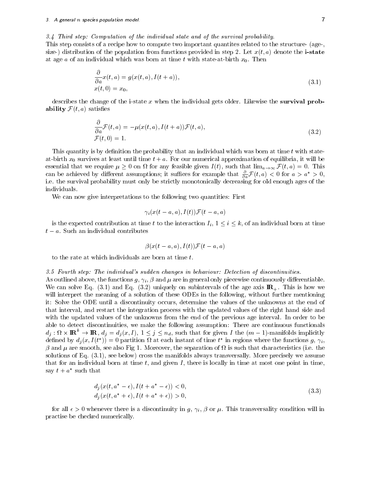3.4 Third step: Computation of the individual state and of the survival probability.

This step consists of a recipe how to compute two important quantites related to the structure- (age-, size-) distribution of the population from functions provided in step 2. Let  $x(t, a)$  denote the **i-state** at age a of an individual which was born at time t with state-at-birth  $x_0$ . Then

$$
\frac{\partial}{\partial a}x(t,a) = g(x(t,a), I(t+a)),
$$
  
\n
$$
x(t,0) = x_0,
$$
\n(3.1)

describes the change of the i-state x when the individual gets older. Likewise the survival probability F(t; a) satises

$$
\frac{\partial}{\partial a} \mathcal{F}(t, a) = -\mu(x(t, a), I(t + a)) \mathcal{F}(t, a),
$$
  

$$
\mathcal{F}(t, 0) = 1.
$$
 (3.2)

This quantity is by definition the probability that an individual which was born at time  $t$  with stateat-birth  $x_0$  survives at least until time  $t + a$ . For our numerical approximation of equilibria, it will be essential that we require the contract we require that limited in the such that limited in the contract of the can be achieved by different assumptions; it suffices for example that  $\frac{1}{\partial a} \mathcal{F}(t, a) < 0$  for  $a > a > 0$ , i.e. the survival probability must only be strictly monotonically decreasing for old enough ages of the individuals.

We can now give interpretations to the following two quantities: First

$$
\gamma_i(x(t-a,a),I(t))\mathcal{F}(t-a,a)
$$

is the expected contribution at time <sup>t</sup> to the interaction Ii , 1 <sup>i</sup> k, of an individual born at time

$$
\beta(x(t-a,a),I(t))\mathcal{F}(t-a,a)
$$

to the rate at which individuals are born at time t.

#### 3.5 Fourth step: The individual's sudden changes in behaviour: Detection of discontinuities.

As outlined above, the functions  $g, \gamma_i, \beta$  and  $\mu$  are in general only piecewise continuously differentiable. We can solve Eq.  $(3.1)$  and Eq.  $(3.2)$  uniquely on subintervals of the age axis  $\mathbb{R}_+$ . This is how we will interpret the meaning of a solution of these ODEs in the following, without further mentioning it: Solve the ODE until a discontinuity occurs, determine the values of the unknowns at the end of that interval, and restart the integration process with the updated values of the right hand side and with the updated values of the unknowns from the end of the previous age interval. In order to be able to detect discontinuities, we make the following assumption: There are continuous functionals  $a_j: \Omega \times \mathbf{H} \mathbf{C} \to \mathbf{H} \mathbf{C}, \ a_j = a_j(x, I), \ 1 \leq j \leq n_d$ , such that for given I the  $(m-1)$ -manifolds implicitly defined by  $a_j(x, I(t)) = 0$  partition  $u$  at each instant of time  $t$  in regions where the functions  $g, \gamma_i,$  and are smooth, see also Fig 1. Moreover, the separation of is such that characteristics (i.e. the solutions of Eq. (3.1), see below) cross the manifolds always transversally. More precisely we assume that for an individual born at time  $t$ , and given  $I$ , there is locally in time at most one point in time,  $\sup t + a$  such that

$$
d_j(x(t, a^* - \epsilon), I(t + a^* - \epsilon)) < 0, \\
d_i(x(t, a^* + \epsilon), I(t + a^* + \epsilon)) > 0,
$$
\n(3.3)

for all  $\epsilon > 0$  whenever there is a discontinuity in g,  $\gamma_i$ ,  $\beta$  or  $\mu$ . This transversality condition will in practise be checked numerically.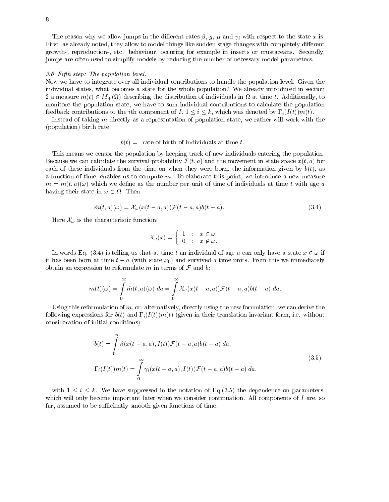The reason why we allow jumps in the different rates  $\beta$ , g,  $\mu$  and  $\gamma_i$  with respect to the state x is: First, as already noted, they allow to model things like sudden stage changes with completely different growth-, reproduction-, etc. behaviour, occuring for example in insects or crustaceans. Secondly, jumps are often used to simplify models by reducing the number of necessary model parameters.

## 3.6 Fifth step: The population level.

Now we have to integrate over all individual contributions to handle the population level. Given the individual states, what becomes a state for the whole population? We already introduced in section  $\alpha$  at time to  $\alpha$  (i)  $\alpha$  and  $\alpha$  (ii) denote the distribution of individuals in the distribution of  $\alpha$  and  $\alpha$ monitore the population state, we have to sum individual contributions to calculate the population feedback contributions to the intervals to the intervals of I  $\mu$  ,  $\mu$  if  $\mu$  (I  $\mu$  (I  $\mu$  ) of  $\mu$ 

Instead of taking m directly as a representation of population state, we rather will work with the (population) birth rate

## $b(t) =$  rate of birth of individuals at time t.

This means we censor the population by keeping track of new individuals entering the population.  $\mathcal{B}$  and the survival probability for survival probability  $\mathcal{F}$  (t)  $\mathcal{D}$  and the movement in state space  $\mathcal{D}$  (t)  $\mathcal{D}$  for  $\mathcal{D}$ each of these individuals from the time on when they were born, the information given by  $b(t)$ , as a function of time, enables us to compute m. To elaborate this point, we introduce a new measure  $\tilde{m} = \tilde{m}(t, a)(\omega)$  which we define as the number per unit of time of individuals at time t with age a having the interval  $\sim$  then  $\sim$  then  $\sim$  then  $\sim$  then  $\sim$  then  $\sim$  then  $\sim$ 

$$
\tilde{m}(t,a)(\omega) = \mathcal{X}_{\omega}(x(t-a,a))\mathcal{F}(t-a,a)b(t-a).
$$
\n(3.4)

Here  $\sim$  1.5  $\mu$  cm  $\sim$  the characteristic function:  $\sim$  1.6  $\mu$ 

$$
\mathcal{X}_{\omega}(x) = \left\{ \begin{array}{lcl} 1 & : & x \in \omega \\ 0 & : & x \not\in \omega. \end{array} \right.
$$

In words Eq. (3.4) is telling us that at time t an individual of age a can only have a state  $\alpha$  2  $\alpha$  in it has been born at time time time time time time units. From this we immediately survived a time units. From this we immediately survived a time units. From this we immediately survived a time units. From this we immedia obtain an expression to reformulate m in terms of  $\mathbb{F}_p$  and b:

$$
m(t)(\omega) = \int\limits_0^\infty \tilde{m}(t,a)(\omega) \; da = \int\limits_0^\infty \mathcal{X}_\omega(x(t-a,a)) \mathcal{F}(t-a,a)b(t-a) \; da.
$$

Using this reformulation of  $m$ , or, alternatively, directly using the new formulation, we can derive the following expressions for  $b(t)$  and  $\Gamma_i(I(t))m(t)$  (given in their translation invariant form, i.e. without consideration of initial conditions):

$$
b(t) = \int_{0}^{\infty} \beta(x(t-a, a), I(t)) \mathcal{F}(t-a, a)b(t-a) da,
$$
  

$$
\Gamma_i(I(t))m(t) = \int_{0}^{\infty} \gamma_i(x(t-a, a), I(t)) \mathcal{F}(t-a, a)b(t-a) da,
$$
 (3.5)

with 1 is defined in the notation of  $\mathbf{u}$  and  $\mathbf{u}$  the dependence on parameters,  $\mathbf{u}$ which will only become important later when we consider continuation. All components of  $I$  are, so far, assumed to be sufficiently smooth given functions of time.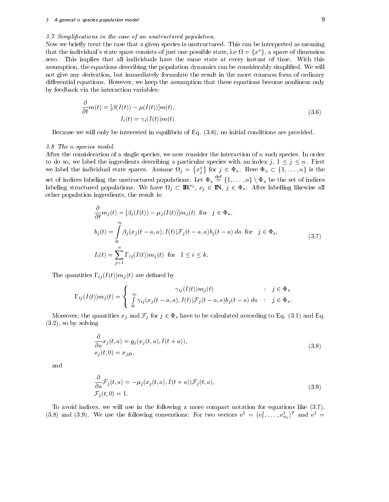#### 3.7 Simplications in the case of an unstructured population.

Now we briefly treat the case that a given species is unstructured. This can be interpreted as meaning that the individual's state space consists of just one possible state, i.e  $\Omega=\{x^*\},$  a space of dimension zero. This implies that all individuals have the same state at every instant of time. With this assumption, the equations describing the population dynamics can be considerably simplied. We will not give any derivation, but immediately formulate the result in the more common form of ordinary differential equations. However, we keep the assumption that these equations become nonlinear only by feedback via the interaction variables:

$$
\frac{\partial}{\partial t}m(t) = [\beta(I(t)) - \mu(I(t))]m(t),
$$
\n
$$
I_i(t) = \gamma_i(I(t))m(t)
$$
\n(3.6)

Because we will only be interested in equilibria of Eq. (3.6), no initial conditions are provided.

#### 3.8 The n-species model.

After the consideration of a single species, we now consider the interaction of  $n$  such species. In order to do so, we label the ingredients describing a particular species with an index  $j$  ,  $j\geq n$  in First we label the individual state spaces. Assume the individual  $j$  ,  $\{x_i^*\}\$ for  $j \in \Phi_u$ .  $\{1,\ldots,n\}\setminus\Phi_u$  be the set of indices set of indices labeling the unstructured populations. Let  $\Phi_s \equiv \{1,\ldots,n\} \setminus \Phi_u$  be the set of indices labeling structured populations. We have  $\Omega_j \subset \mathbb{R}^{\nu_j}$ ,  $\nu_j \in \mathbb{N}$ ,  $j \in \Phi_s$ . After labelling likewise all oth other population ingredients, the result is:

$$
\frac{\partial}{\partial t}m_j(t) = [\beta_j(I(t)) - \mu_j(I(t))]m_j(t) \text{ for } j \in \Phi_u,
$$
  
\n
$$
b_j(t) = \int_0^\infty \beta_j(x_j(t-a, a), I(t))\mathcal{F}_j(t-a, a)b_j(t-a) da \text{ for } j \in \Phi_s,
$$
  
\n
$$
I_i(t) = \sum_{j=1}^n \Gamma_{ij}(I(t))m_j(t) \text{ for } 1 \le i \le k.
$$
\n(3.7)

The quantities  $\Gamma_{ij}(I(t))m_j(t)$  are defined by

$$
\Gamma_{ij}(I(t))m_j(t) = \begin{cases} \gamma_{ij}(I(t))m_j(t) & \text{if } j \in \Phi_u \\ \int_0^\infty \gamma_{ij}(x_j(t-a,a), I(t))\mathcal{F}_j(t-a,a)b_j(t-a) \, da & \text{if } j \in \Phi_s. \end{cases}
$$

More contributed and  $f$  is given to be calculated according to  $E$  for  $E$  and  $E$ (3.2), so by solving

$$
\frac{\partial}{\partial a} x_j(t, a) = g_j(x_j(t, a), I(t + a)),
$$
  
\n
$$
x_j(t, 0) = x_{j,0},
$$
\n(3.8)

and

$$
\frac{\partial}{\partial a} \mathcal{F}_j(t, a) = -\mu_j(x_j(t, a), I(t+a)) \mathcal{F}_j(t, a),
$$
  
\n
$$
\mathcal{F}_j(t, 0) = 1.
$$
\n(3.9)

To avoid indices, we will use in the following a more compact notation for equations like (3.7), (3.8) and (3.9). We use the following conventions: For two vectors  $v^- = (v_1^1, \ldots, v_{n_1}^1)^-$  and  $v^- =$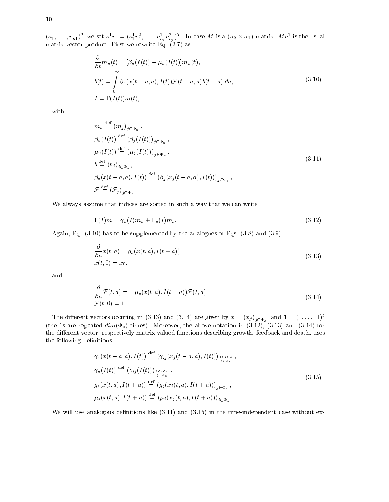$(v_1,\ldots,v_{n1})$  we set  $v\vert v=(v_1v_1,\ldots,v_{n1}v_{n1})$ . In case M is a  $(n_2\times n_1)$ -matrix, M  $v$  is the usual matrix-vector product. First we rewrite  $\mathbb{R}^n$  as the eq. (3.7) as the eq. (3.7) as the eq. (3.7) as the eq. (3.7) as the eq. (3.7) as the eq. (3.7) as the eq. (3.7) as the eq. (3.7) as the eq. (3.7) as the eq. (3.7)

$$
\frac{\partial}{\partial t} m_u(t) = [\beta_u(I(t)) - \mu_u(I(t))] m_u(t),
$$
  
\n
$$
b(t) = \int_0^\infty \beta_s(x(t - a, a), I(t)) \mathcal{F}(t - a, a) b(t - a) da,
$$
\n
$$
I = \Gamma(I(t)) m(t),
$$
\n(3.10)

with

$$
m_u \stackrel{\text{def}}{=} (m_j)_{j \in \Phi_u},
$$
  
\n
$$
\beta_u(I(t)) \stackrel{\text{def}}{=} (\beta_j(I(t)))_{j \in \Phi_u},
$$
  
\n
$$
\mu_u(I(t)) \stackrel{\text{def}}{=} (\mu_j(I(t)))_{j \in \Phi_u},
$$
  
\n
$$
b \stackrel{\text{def}}{=} (b_j)_{j \in \Phi_s},
$$
  
\n
$$
\beta_s(x(t - a, a), I(t)) \stackrel{\text{def}}{=} (\beta_j(x_j(t - a, a), I(t)))_{j \in \Phi_s},
$$
  
\n
$$
\mathcal{F} \stackrel{\text{def}}{=} (\mathcal{F}_j)_{j \in \Phi_s}.
$$
\n(3.11)

We always assume that indices are sorted in such a way that we can write

$$
\Gamma(I)m = \gamma_u(I)m_u + \Gamma_s(I)m_s. \tag{3.12}
$$

Again, Eq. (3.10) has to be supplemented by the analogues of Eqs. (3.8) and (3.9):

$$
\frac{\partial}{\partial a}x(t,a) = g_s(x(t,a), I(t+a)),
$$
  
\n
$$
x(t,0) = x_0,
$$
\n(3.13)

and

$$
\frac{\partial}{\partial a} \mathcal{F}(t, a) = -\mu_s(x(t, a), I(t + a)) \mathcal{F}(t, a), \n\mathcal{F}(t, 0) = 1.
$$
\n(3.14)

The different vectors occuring in (5.15) and (5.14) are given by  $x = (x_j)_{j \in \Phi_s}$ , and  $\mathbf{1} = (1, \dots, 1)^T$ (the 1s are repeated  $dim(\Phi_s)$  times). Moreover, the above notation in  $(3.12)$ ,  $(3.13)$  and  $(3.14)$  for the different vector- respectively matrix-valued functions describing growth, feedback and death, uses the following definitions:

$$
\gamma_s(x(t-a,a), I(t)) \stackrel{\text{def}}{=} (\gamma_{ij}(x_j(t-a,a), I(t)))_{\substack{1 \le i \le k \\ j \in \Phi_s}}^{\text{def}},
$$
  
\n
$$
\gamma_u(I(t)) \stackrel{\text{def}}{=} (\gamma_{ij}(I(t)))_{\substack{1 \le i \le k \\ j \in \Phi_u}}^{\text{def}} ,
$$
  
\n
$$
g_s(x(t,a), I(t+a)) \stackrel{\text{def}}{=} (g_j(x_j(t,a), I(t+a)))_{j \in \Phi_s},
$$
  
\n
$$
\mu_s(x(t,a), I(t+a)) \stackrel{\text{def}}{=} (\mu_j(x_j(t,a), I(t+a)))_{j \in \Phi_s}.
$$
\n(3.15)

We will use analogous definitions like  $(3.11)$  and  $(3.15)$  in the time-independent case without ex-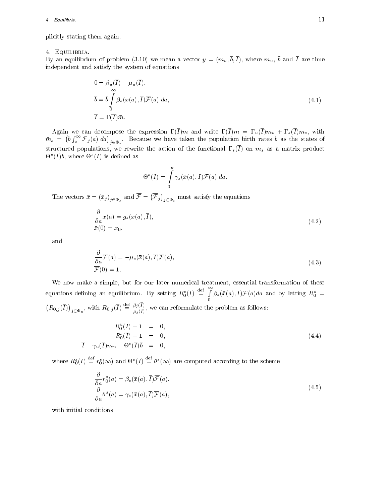plicitly stating them again.

## 4. Equilibria.

By an equilibrium of problem (3.10) we mean a vector  $y = (\overline{m_u}, \overline{b}, \overline{I})$ , where  $\overline{m_u}$ ,  $\overline{b}$  and  $\overline{I}$  are time independent and satisfy the system of equations

$$
0 = \beta_u(\overline{I}) - \mu_u(\overline{I}),
$$
  
\n
$$
\overline{b} = \overline{b} \int_0^\infty \beta_s(\overline{x}(a), \overline{I}) \overline{\mathcal{F}}(a) da,
$$
  
\n
$$
\overline{I} = \Gamma(\overline{I}) \overline{m}.
$$
\n(4.1)

Again we can decompose the expression (I )m and write (I )m <sup>=</sup> u(I )mu + s(I ) ms, with  $\cdots$  s  $\cdots$   $\cdots$  $\left(\overline{b}\int_{o}^{\infty}\overline{\mathcal{F}}_j(a) da\right)_{j\in\Phi_s}$ . Because we have taken the population birth rates b as the states of structured populations, we rewrite the action of the functional  $\Gamma_s(\overline{I})$  on  $m_s$  as a matrix product  $\Theta$  (*I* )<sup>0</sup>, where  $\Theta$  (*I*) is defined as

$$
\Theta^s(\overline{I}) = \int\limits_0^\infty \gamma_s(\bar{x}(a), \overline{I}) \overline{\mathcal{F}}(a) \; da.
$$

The vectors  $\bar{x} = (\bar{x}_j)_{j \in \Phi_s}$  and  $\bar{\mathcal{F}} = (\bar{\mathcal{F}}_j)_{j \in \Phi_s}$  must satisfy the equations

$$
\frac{\partial}{\partial a}\bar{x}(a) = g_s(\bar{x}(a), \bar{I}),
$$
  
\n
$$
\bar{x}(0) = x_0,
$$
\n(4.2)

and

$$
\frac{\partial}{\partial a}\overline{\mathcal{F}}(a) = -\mu_s(\bar{x}(a), \overline{I})\overline{\mathcal{F}}(a),
$$
  

$$
\overline{\mathcal{F}}(0) = \mathbf{1}.
$$
 (4.3)

We now make a simple, but for our later numerical treatment, essential transformation of these equations defining an equilibrium. By setting  $R_0^s(\overline{I}) \stackrel{\text{def}}{=} \int \beta_s(\bar{x}(a), \overline{I}) \overline{\mathcal{F}}(a) da$  and by letting  $R_0^u =$  $(R_{0,j}(\overline{I}))_{j\in\Phi_u}$ , with  $R_{0,j}(\overline{I})\stackrel{\text{def}}{=} \frac{\beta_j(\overline{I})}{\mu_j(\overline{I})}$ , we can reformulate the problem as follows:

$$
R_0^u(\overline{I}) - 1 = 0,
$$
  
\n
$$
R_0^s(\overline{I}) - 1 = 0,
$$
  
\n
$$
\overline{I} - \gamma_u(\overline{I})\overline{m_u} - \Theta^s(\overline{I})\overline{b} = 0,
$$
\n(4.4)

where  $R_0^s(I) \equiv r_0^s(\infty)$  and  $\Theta^s(I) \equiv \theta^s(\infty)$  are computed according to the scheme

$$
\frac{\partial}{\partial a} r_0^s(a) = \beta_s(\bar{x}(a), \bar{I}) \overline{\mathcal{F}}(a), \n\frac{\partial}{\partial a} \theta^s(a) = \gamma_s(\bar{x}(a), \bar{I}) \overline{\mathcal{F}}(a),
$$
\n(4.5)

with initial conditions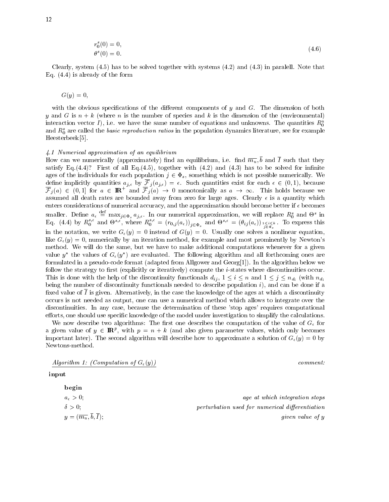$$
r_0^s(0) = 0,
$$
  
\n
$$
\theta^s(0) = 0.
$$
\n(4.6)

Clearly, system  $(4.5)$  has to be solved together with systems  $(4.2)$  and  $(4.3)$  in paralell. Note that Eq. (4.4) is already of the form

 $G(y)=0,$ 

with the obvious specifications of the different components of  $y$  and  $G$ . The dimension of both y and G is  $n + k$  (where n is the number of species and k is the dimension of the (environmental) interaction vector I), i.e. we have the same number of equations and unknowns. The quantities  $R_0^u$ and  $R_0^s$  are called the basic reproduction ratios in the population dynamics literature, see for example Heesterbeek [5].

## 4.1 Numerical approximation of an equilibrium

How can we numerically (approximately) find an equilibrium, i.e. find  $\overline{m_u}$ ,  $\overline{b}$  and  $\overline{I}$  such that they satisfy Eq.(4.4)? First of all Eq.(4.5), together with (4.2) and (4.3) has to be solved for infinite ages of the individuals for each population is not possible numerically. We have numerically  $\mathcal{A}$  $\overline{\mathcal{F}}_j(a) \in (0,1]$  for  $a \in \mathbb{R}^+$  and  $\overline{\mathcal{F}}_j(a) \to 0$  monotonically as  $a \to \infty$ . This holds because we assumed all death rates are bounded away from zero for large ages. Clearly  $\epsilon$  is a quantity which enters considerations of numerical accuracy, and the approximation should become better if  $\epsilon$  becomes smaller. Define  $a_{\epsilon} \equiv \max_{j \in \Phi_s} a_{j,\epsilon}$ . In our numerical approximation, we will replace  $R_0^s$  and  $\Theta^s$  in<br>Eq. (4.4) by  $R_0^{s,\epsilon}$  and  $\Theta^{s,\epsilon}$ , where  $R_0^{s,\epsilon} = (r_{0,j}(a_{\epsilon}))_{j \in \Phi_s}$  and  $\Theta^{s,\epsilon} = (\theta_{ij}(a_{\epsilon}))_{j \in \Phi_s}$ in the notation, we write  $G_{\epsilon}(y) = 0$  instead of  $G(y) = 0$ . Usually one solves a nonlinear equation, like  $G_{\epsilon}(y) = 0$ , numerically by an iteration method, for example and most prominently by Newton's method. We will do the same, but we have to make additional computations whenever for a given value  $y$  , the values of  $G_{\epsilon}(y)$  are evaluated. The following algorithm and all forthcoming ones are formulated in a pseudo-code format (adapted from Allgower and Georg[1]). In the algorithm below we follow the strategy to first (explicitly or iteratively) compute the  $i$ -states where discontinuities occur. This is done with the discontinuity functionals discontinuity functionals different  $u_1$  ,  $u_2$  is and  $u_3$  if  $u_4$  is an and 1  $u_5$  is an and 1  $u_7$  is an and 1  $u_8$  is an and 1  $u_9$  is an and 1  $u_1$  is an and 1 being the number of discontinuity functionals needed to describe population  $i$ ), and can be done if a fixed value of  $\overline{I}$  is given. Alternatively, in the case the knowledge of the ages at which a discontinuity occurs is not needed as output, one can use a numerical method which allows to integrate over the discontinuities. In any case, because the determination of these 'stop ages' requires computational efforts, one should use specific knowledge of the model under investigation to simplify the calculations.

We now describe two algorithms: The first one describes the computation of the value of  $G_{\epsilon}$  for a given value of  $y \in \mathbf{I\!R}^p$ , with  $p = n + \kappa$  (and also given parameter values, which only becomes important later). The second algorithm will describe how to approximate a solution of  $G_{\epsilon}(y)=0$  by Newtons-method.

 $Algorithm 1: (Computation of  $G_{\epsilon}(y)$ )$  comment:

input

hegin

| ------                                          |                                                 |  |
|-------------------------------------------------|-------------------------------------------------|--|
| $a_{\epsilon}>0$                                | age at which integration stops                  |  |
| $\delta > 0$ :                                  | perturbation used for numerical differentiation |  |
| $y=(\overline{m_u},\overline{b},\overline{I});$ | given value of y                                |  |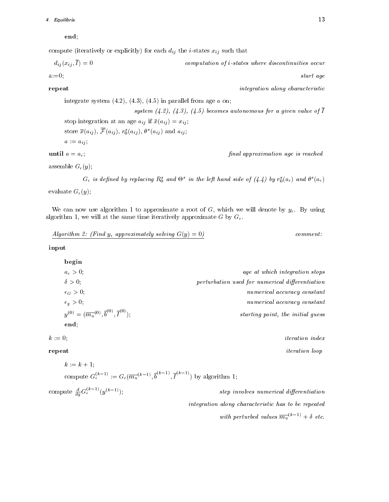## 4. Equilibria. 13

end;

compute (iteratively or explicitly) for each  $d_{ij}$  the *i*-states  $x_{ij}$  such that

$$
d_{ij}(x_{ij},\overline{I}) = 0
$$
 computation of i-states where discontinuities occur

a:=0; start agency  $\mathbf{d}$ 

**repeat** integration along characteristic integration along characteristic

integrate system  $(4.2)$ ,  $(4.3)$ ,  $(4.5)$  in parallel from age  $a$  on; system  $(4.2)$ ,  $(4.3)$ ,  $(4.5)$  becomes autonomous for a given value of  $\overline{I}$ stop integration at an age  $a_{ij}$  if  $\bar{x}(a_{ij}) = x_{ij}$ ; store  $x(u_{ij}), \, \mathcal{F}(u_{ij}), \, r_0(u_{ij}), \, \sigma(u_{ij})$  and  $u_{ij},$  $a := a_{ij}$ ; **until**  $a = a_{\epsilon}$ ; final approximation age is reached

assemble  $G_{\epsilon}(y)$ ;

 $G_\epsilon$  is aefined by replacing  $K_0$  and  $\Theta^-$  in the left hand side of (4.4) by  $r_0(a_\epsilon)$  and  $\theta^-(a_\epsilon)$ evaluate  $G_{\epsilon}(y)$ ;

We can now use algorithm 1 to approximate a root of G, which we will denote by  $y_{\epsilon}$ . By using

$$
Algorithm 2: (Find yε approximately solving  $G(y) = 0$ ) *comment:*
$$

input

| begin                                                                        |                                                 |
|------------------------------------------------------------------------------|-------------------------------------------------|
| $a_{\epsilon} > 0$ ;                                                         | age at which integration stops                  |
| $\delta > 0$ ;                                                               | perturbation used for numerical differentiation |
| $\epsilon_G > 0;$                                                            | numerical accuracy constant                     |
| $\epsilon_y > 0$ ;                                                           | numerical accuracy constant                     |
| $y^{(0)} = (\overline{m_u}^{(0)}, \overline{b}^{(0)}, \overline{I}^{(0)})$ ; | starting point, the initial guess               |
| end;                                                                         |                                                 |

 $k := 0;$  iteration index

**repeat** iteration loop

compute 
$$
G_{\epsilon}^{(k-1)} := G_{\epsilon}(\overline{m_u}^{(k-1)}, \overline{b}^{(k-1)}, \overline{I}^{(k-1)})
$$
 by algorithm 1;

step involves numerical differentiation

integration along characteristic has to be repeated

with perturbed values  $m_u$ ,  $\rightarrow +0$  etc.

 $k := k + 1$ :

compute  $\frac{d}{dy} G_{\epsilon}^{(k-1)}(y^{(k-1)});$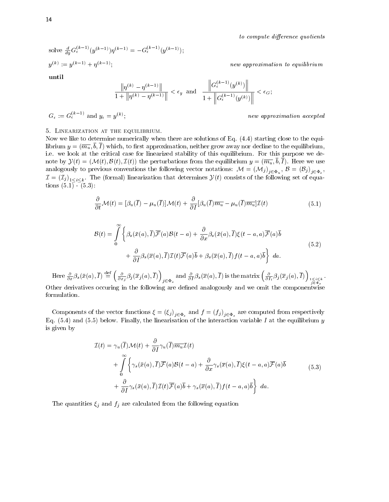to compute difference quotients

solve  $\frac{d}{du}G_{\epsilon}^{(n+1)}(y^{(n-1)})\eta^{(n-1)} = -G_{\epsilon}^{(n+1)}(y^{(n-1)});$  $y^{\,(k)}\, := y^{\,(k-1)}\, + \eta^{\,(k-1)};$ 

new approximation to equilibrium

until

$$
\frac{\left\|\eta^{(k)}-\eta^{(k-1)}\right\|}{1+\left\|\eta^{(k)}-\eta^{(k-1)}\right\|} < \epsilon_y \text{ and } \frac{\left\|G_{\epsilon}^{(k-1)}(y^{(k)})\right\|}{1+\left\|G_{\epsilon}^{(k-1)}(y^{(k)})\right\|} < \epsilon_G;
$$

$$
G_{\epsilon} := G_{\epsilon}^{(k-1)} \text{ and } y_{\epsilon} = y^{(k)};
$$

; new approximation accepted

## 5. Linearization at the equilibrium.

Now we like to determine numerically when there are solutions of Eq. (4.4) starting close to the equilibrium  $y = (\overline{m_u}, \overline{b}, \overline{I})$  which, to first approximation, neither grow away nor decline to the equilibrium, i.e. we look at the critical case for linearized stability of this equilibrium. For this purpose we denote by Y(t)=(M(t); B(t); I(t)) the perturbations from the equilibrium <sup>y</sup> = (mu; b; <sup>I</sup> ). Here we use and the following conventions the following vector notations the following vector  $\mathcal{A} = \{A,B,C,B,C\}$ j2u j2s I all  $\{f_j\}$  in the formal dimension that determines  $\mathcal{S}(t)$  consists of the following set of equal  $\mathcal{S}(t)$ tions  $(5.1)$ <sup>-</sup> $(5.3)$ :

$$
\frac{\partial}{\partial t} \mathcal{M}(t) = [\beta_u(\overline{I}) - \mu_u(\overline{I})] \mathcal{M}(t) + \frac{\partial}{\partial I} [\beta_u(\overline{I})\overline{m_u} - \mu_u(\overline{I})\overline{m_u}] \mathcal{I}(t)
$$
\n(5.1)

$$
\mathcal{B}(t) = \int_{0}^{\infty} \left\{ \beta_s(\bar{x}(a), \bar{I}) \overline{\mathcal{F}}(a) \mathcal{B}(t-a) + \frac{\partial}{\partial x} \beta_s(\bar{x}(a), \bar{I}) \xi(t-a, a) \overline{\mathcal{F}}(a) \overline{b} + \frac{\partial}{\partial I} \beta_s(\overline{x}(a), \bar{I}) \mathcal{I}(t) \overline{\mathcal{F}}(a) \overline{b} + \beta_s(\overline{x}(a), \bar{I}) f(t-a, a) \overline{b} \right\} da.
$$
\n(5.2)

Here  $\frac{\partial}{\partial x}\beta_s(\bar{x}(a),\overline{I}) \stackrel{\text{def}}{=} \left(\frac{\partial}{\partial x_j}\beta_j(\overline{x}_j(a),\overline{I})\right)_{j\in\Phi_s}$  and  $\frac{\partial}{\partial I}\beta_s(\overline{x}(a),\overline{I})$  is the matrix  $\left(\frac{\partial}{\partial I_i}\beta_j(\overline{x}_j(a),\overline{I})\right)_{1\leq i\leq k}$ .

Other derivatives occuring in the following are dened analogously and we omit the componentwise formulation.

 $\mathbf{C}=\mathbf{C}=\mathbf{C}=\mathbf{C}=\mathbf{C}=\mathbf{C}=\mathbf{C}=\mathbf{C}=\mathbf{C}=\mathbf{C}=\mathbf{C}=\mathbf{C}=\mathbf{C}=\mathbf{C}=\mathbf{C}=\mathbf{C}=\mathbf{C}=\mathbf{C}=\mathbf{C}=\mathbf{C}=\mathbf{C}=\mathbf{C}=\mathbf{C}=\mathbf{C}=\mathbf{C}=\mathbf{C}=\mathbf{C}=\mathbf{C}=\mathbf{C}=\mathbf{C}=\mathbf{C}=\mathbf{C}=\mathbf{C}=\mathbf{C}=\mathbf{C}=\mathbf{C}=\mathbf{$ Eq. (5.4) and (5.5) below. Finally, the linearisation of the interaction variable I at the equilibrium  $y$ is given by

$$
\mathcal{I}(t) = \gamma_u(\overline{I})\mathcal{M}(t) + \frac{\partial}{\partial I}\gamma_u(\overline{I})\overline{m_u}\mathcal{I}(t)
$$
  
+ 
$$
\int_{0}^{\infty} \left\{ \gamma_s(\bar{x}(a), \overline{I})\overline{\mathcal{F}}(a)\mathcal{B}(t-a) + \frac{\partial}{\partial x}\gamma_s(\overline{x}(a), \overline{I})\xi(t-a, a)\overline{\mathcal{F}}(a)\overline{b} + \frac{\partial}{\partial I}\gamma_s(\overline{x}(a), \overline{I})\mathcal{I}(t)\overline{\mathcal{F}}(a)\overline{b} + \gamma_s(\overline{x}(a), \overline{I})f(t-a, a)\overline{b} \right\} da.
$$
 (5.3)

The quantities  $\xi_j$  and  $f_j$  are calculated from the following equation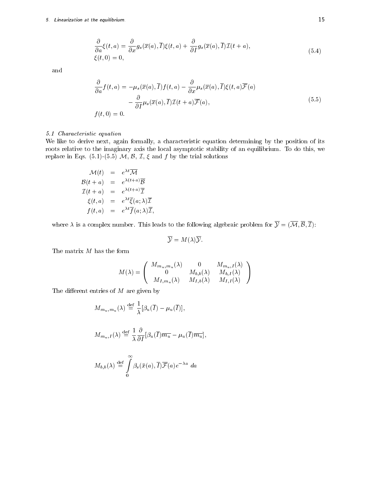## 5. Linearization at the equilibrium. 15

$$
\frac{\partial}{\partial a}\xi(t,a) = \frac{\partial}{\partial x}g_s(\overline{x}(a),\overline{I})\xi(t,a) + \frac{\partial}{\partial I}g_s(\overline{x}(a),\overline{I})\mathcal{I}(t+a),
$$
\n
$$
\xi(t,0) = 0,
$$
\n(5.4)

and

$$
\frac{\partial}{\partial a} f(t, a) = -\mu_s(\overline{x}(a), \overline{I}) f(t, a) - \frac{\partial}{\partial x} \mu_s(\overline{x}(a), \overline{I}) \xi(t, a) \overline{\mathcal{F}}(a) \n- \frac{\partial}{\partial I} \mu_s(\overline{x}(a), \overline{I}) \mathcal{I}(t + a) \overline{\mathcal{F}}(a), \nf(t, 0) = 0.
$$
\n(5.5)

## 5.1 Characteristic equation

We like to derive next, again formally, a characteristic equation determining by the position of its roots relative to the imaginary axis the local asymptotic stability of an equilibrium. To do this, we replace in Eqs. (5.1)-(5.5)  $M$ ,  $B$ ,  $I$ ,  $\xi$  and  $f$  by the trial solutions

$$
\mathcal{M}(t) = e^{\lambda t} \overline{\mathcal{M}}
$$
\n
$$
\mathcal{B}(t+a) = e^{\lambda(t+a)} \overline{\mathcal{B}}
$$
\n
$$
\mathcal{I}(t+a) = e^{\lambda(t+a)} \overline{\mathcal{I}}
$$
\n
$$
\xi(t,a) = e^{\lambda t} \overline{\xi}(a;\lambda) \overline{\mathcal{I}}
$$
\n
$$
f(t,a) = e^{\lambda t} \overline{f}(a;\lambda) \overline{\mathcal{I}},
$$

where is a complex number of the following to the following algebraic problem for  $\mathsf{v} = (\mathsf{v}_1, \mathsf{v}_2, \mathsf{v}_3, \mathsf{v}_4)$ 

$$
\overline{\mathcal{Y}} = M(\lambda)\overline{\mathcal{Y}}.
$$

The matrix  $M$  has the form

$$
M(\lambda) = \left( \begin{array}{ccc} M_{m_u, m_u}(\lambda) & 0 & M_{m_u, I}(\lambda) \\ 0 & M_{b, b}(\lambda) & M_{b, I}(\lambda) \\ M_{I, m_u}(\lambda) & M_{I, b}(\lambda) & M_{I, I}(\lambda) \end{array} \right)
$$

The different entries of  $M$  are given by

$$
M_{m_u, m_u}(\lambda) \stackrel{\text{def}}{=} \frac{1}{\lambda} [\beta_u(\overline{I}) - \mu_u(\overline{I})],
$$
  

$$
M_{m_u, I}(\lambda) \stackrel{\text{def}}{=} \frac{1}{\lambda} \frac{\partial}{\partial I} [\beta_u(\overline{I}) \overline{m_u} - \mu_u(\overline{I}) \overline{m_u}],
$$
  

$$
M_{b,b}(\lambda) \stackrel{\text{def}}{=} \int_0^\infty \beta_s(\overline{x}(a), \overline{I}) \overline{\mathcal{F}}(a) e^{-\lambda a} da
$$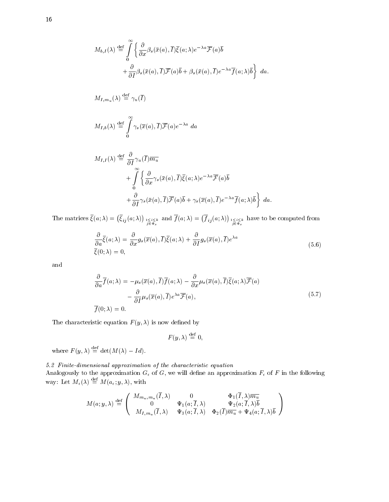$$
M_{b,I}(\lambda) \stackrel{\text{def}}{=} \int_{0}^{\infty} \left\{ \frac{\partial}{\partial x} \beta_s(\bar{x}(a), \overline{I}) \overline{\xi}(a; \lambda) e^{-\lambda a} \overline{\mathcal{F}}(a) \overline{b} \right\}
$$
  

$$
+ \frac{\partial}{\partial I} \beta_s(\bar{x}(a), \overline{I}) \overline{\mathcal{F}}(a) \overline{b} + \beta_s(\bar{x}(a), \overline{I}) e^{-\lambda a} \overline{f}(a; \lambda) \overline{b} \right\} da.
$$
  

$$
M_{I,m_u}(\lambda) \stackrel{\text{def}}{=} \gamma_u(\overline{I})
$$
  

$$
M_{I,b}(\lambda) \stackrel{\text{def}}{=} \int_{0}^{\infty} \gamma_s(\overline{x}(a), \overline{I}) \overline{\mathcal{F}}(a) e^{-\lambda a} da
$$
  

$$
M_{I,I}(\lambda) \stackrel{\text{def}}{=} \frac{\partial}{\partial I} \gamma_u(\overline{I}) \overline{m_u}
$$
  

$$
+ \int_{0}^{\infty} \left\{ \frac{\partial}{\partial x} \gamma_s(\bar{x}(a), \overline{I}) \overline{\xi}(a; \lambda) e^{-\lambda a} \overline{\mathcal{F}}(a) \overline{b} \right\}
$$

$$
+ \frac{\partial}{\partial T} \gamma_s(\bar{x}(a), \overline{I}) \overline{\mathcal{F}}(a) \overline{b} + \gamma_s(\overline{x}(a), \overline{I}) e^{-\lambda a} \overline{f}(a; \lambda) \overline{b} \bigg\} da.
$$

The matrices  $\overline{\xi}(a;\lambda) = (\overline{\xi}_{ij}(a;\lambda))_{1 \leq i \leq k \atop j \in \Phi_s}$  and  $\overline{f}(a;\lambda) = (\overline{f}_{ij}(a;\lambda))_{1 \leq i \leq k \atop j \in \Phi_s}$  have to be computed from

$$
\frac{\partial}{\partial a}\overline{\xi}(a;\lambda) = \frac{\partial}{\partial x}g_s(\overline{x}(a),\overline{I})\overline{\xi}(a;\lambda) + \frac{\partial}{\partial I}g_s(\overline{x}(a),\overline{I})e^{\lambda a} \overline{\xi}(0;\lambda) = 0,
$$
\n(5.6)

and

$$
\frac{\partial}{\partial a}\overline{f}(a;\lambda) = -\mu_s(\overline{x}(a),\overline{I})\overline{f}(a;\lambda) - \frac{\partial}{\partial x}\mu_s(\overline{x}(a),\overline{I})\overline{\xi}(a;\lambda)\overline{\mathcal{F}}(a) \n- \frac{\partial}{\partial I}\mu_s(\overline{x}(a),\overline{I})e^{\lambda a}\overline{\mathcal{F}}(a),
$$
\n(5.7)

The characteristic equation  $F(y,\lambda)$  is now defined by

$$
F(y,\lambda) \stackrel{\text{def}}{=} 0,
$$

where  $F(y, \lambda) \equiv det(M(\lambda) - Id).$ 

5.2 Finite-dimensional approximation of the characteristic equation

Analogously to the approximation G of G, we will dene an approximation F of <sup>F</sup> in the following way: Let  $M_{\epsilon}(\lambda) \equiv M(a_{\epsilon}, y, \lambda)$ , with

$$
M(a;y,\lambda) \stackrel{\text{def}}{=} \left( \begin{array}{ccc} M_{m_u,m_u}(\overline{I},\lambda) & 0 & \Phi_1(\overline{I},\lambda)\overline{m_u} \\ 0 & \Psi_1(a;\overline{I},\lambda) & \Psi_2(a;\overline{I},\lambda)\overline{b} \\ M_{I,m_u}(\overline{I},\lambda) & \Psi_3(a;\overline{I},\lambda) & \Phi_2(\overline{I})\overline{m_u} + \Psi_4(a;\overline{I},\lambda)\overline{b} \end{array} \right)
$$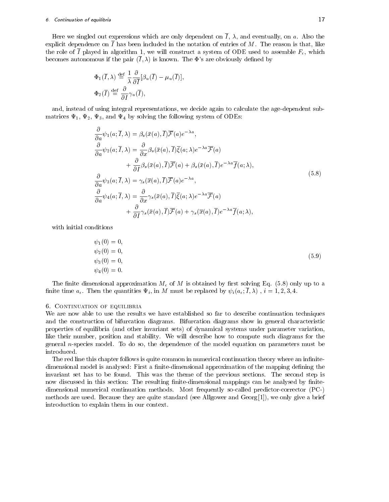## 6. Continuation of equilibria 17

Here we singled out expressions which are only dependent on  $\overline{I}$ ,  $\lambda$ , and eventually, on a. Also the explicit dependence on  $\overline{I}$  has been included in the notation of entries of M. The reason is that, like the role of  $\overline{I}$  played in algorithm 1, we will construct a system of ODE used to assemble  $F_{\epsilon}$ , which becomes autonomous if the pair  $(\overline{I},\lambda)$  is known. The  $\Phi$ 's are obviously defined by

$$
\Phi_1(\overline{I}, \lambda) \stackrel{\text{def}}{=} \frac{1}{\lambda} \frac{\partial}{\partial \overline{I}} [\beta_u(\overline{I}) - \mu_u(\overline{I})],
$$
  

$$
\Phi_2(\overline{I}) \stackrel{\text{def}}{=} \frac{\partial}{\partial I} \gamma_u(\overline{I}),
$$

and, instead of using integral representations, we decide again to calculate the age-dependent submatrices  $\Psi_1, \Psi_2, \Psi_3$ , and  $\Psi_4$  by solving the following system of ODEs:

$$
\frac{\partial}{\partial a}\psi_{1}(a;\overline{I},\lambda) = \beta_{s}(\bar{x}(a),\overline{I})\overline{\mathcal{F}}(a)e^{-\lambda a}, \n\frac{\partial}{\partial a}\psi_{2}(a;\overline{I},\lambda) = \frac{\partial}{\partial x}\beta_{s}(\bar{x}(a),\overline{I})\overline{\xi}(a;\lambda)e^{-\lambda a}\overline{\mathcal{F}}(a) \n+ \frac{\partial}{\partial I}\beta_{s}(\bar{x}(a),\overline{I})\overline{\mathcal{F}}(a) + \beta_{s}(\bar{x}(a),\overline{I})e^{-\lambda a}\overline{f}(a;\lambda), \n\frac{\partial}{\partial a}\psi_{3}(a;\overline{I},\lambda) = \gamma_{s}(\overline{x}(a),\overline{I})\overline{\mathcal{F}}(a)e^{-\lambda a}, \n\frac{\partial}{\partial a}\psi_{4}(a;\overline{I},\lambda) = \frac{\partial}{\partial x}\gamma_{s}(\bar{x}(a),\overline{I})\overline{\xi}(a;\lambda)e^{-\lambda a}\overline{\mathcal{F}}(a) \n+ \frac{\partial}{\partial I}\gamma_{s}(\bar{x}(a),\overline{I})\overline{\mathcal{F}}(a) + \gamma_{s}(\overline{x}(a),\overline{I})e^{-\lambda a}\overline{f}(a;\lambda),
$$
\n(5.8)

with initial conditions

$$
\psi_1(0) = 0,\n\psi_2(0) = 0,\n\psi_3(0) = 0,\n\psi_4(0) = 0.
$$
\n(5.9)

The finite dimensional approximation  $M_{\epsilon}$  of M is obtained by first solving Eq. (5.8) only up to a finite time  $a_{\epsilon}$ . Then the quantities  $\Psi_i$ , in M must be replaced by  $\psi_i(a_{\epsilon}; I, \lambda)$ ,  $i = 1, 2, 3, 4$ .

## 6. CONTINUATION OF EQUILIBRIA

We are now able to use the results we have established so far to describe continuation techniques and the construction of bifurcation diagrams. Bifurcation diagrams show ingeneral characteristic properties of equilibria (and other invariant sets) of dynamical systems under parameter variation, like their number, position and stability. We will describe how to compute such diagrams for the general n-species model. To do so, the dependence of the model equation on parameters must be introduced.

The red line this chapter follows is quite common in numerical continuation theory where an infinitedimensional model is analysed: First a finite-dimensional approximation of the mapping defining the invariant set has to be found. This was the theme of the previous sections. The second step is now discussed in this section: The resulting finite-dimensional mappings can be analysed by finitedimensional numerical continuation methods. Most frequently so-called predictor-corrector (PC-) methods are used. Because they are quite standard (see Allgower and Georg [1]), we only give a brief introduction to explain them in our context.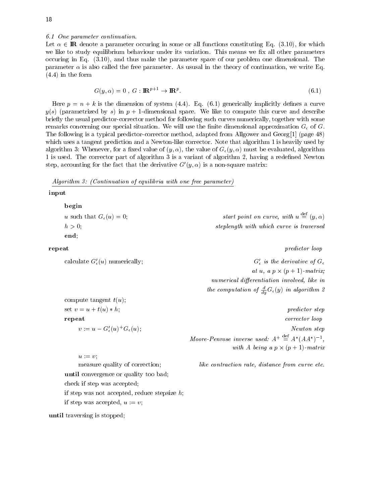6.1 One parameter continuation.

Let a parameter occurs in some or all functions constituting in some or all functions constituting Eq. (3.10), for which  $\mathbf{C}$ we like to study equilibrium behaviour under its variation. This means we fix all other parameters occuring in Eq. (3.10), and thus make the parameter space of our problem one dimensional. The parameter  $\alpha$  is also called the free parameter. As ususal in the theory of continuation, we write Eq. (4.4) in the form

$$
G(y, \alpha) = 0, \ G: \mathbf{I\!R}^{p+1} \to \mathbf{I\!R}^p. \tag{6.1}
$$

Here  $p = n + k$  is the dimension of system (4.4). Eq. (6.1) generically implicitly defines a curve  $y(s)$  (parametrized by s) in  $p + 1$ -dimensional space. We like to compute this curve and describe briefly the usual predictor-corrector method for following such curves numerically, together with some remarks concerning our special situation. We will use the finite dimensional approximation  $G_{\epsilon}$  of G. The following is a typical predictor-corrector method, adapted from Allgower and Georg [1] (page 48) which uses a tangent prediction and a Newton-like corrector. Note that algorithm 1 is heavily used by algorithm 3: Whenever, for a fixed value of  $(y, \alpha)$ , the value of  $G_{\epsilon}(y, \alpha)$  must be evaluated, algorithm 1 is used. The corrector part of algorithm 3 is a variant of algorithm 2, having a redened Newton step, accounting for the fact that the derivative  $G'(y, \alpha)$  is a non-square matrix:

Algorithm 3: (Continuation of equilibria with one free parameter)

## input

| pegin                             |                                                                     |
|-----------------------------------|---------------------------------------------------------------------|
| u such that $G_{\epsilon}(u)=0$ ; | start point on curve, with $u \stackrel{\text{def}}{=} (y, \alpha)$ |
| $h>0$ .                           | steplength with which curve is traversed                            |
| end:                              |                                                                     |
|                                   |                                                                     |

#### repeat predictor loop and the predictor loop of the predictor loop and the predictor loop of the predictor loop  $\mathbb{R}^n$

calculate  $G'_{\epsilon}(u)$  numerically;  $G'_{\epsilon}$  is the derivative of  $G_{\epsilon}$ at u, a p and the p and the p intervals of the p and the p intervals of the p intervals of the p intervals of t numerical differentiation involved, like in the computation of  $\frac{1}{du} G_{\epsilon}(y)$  in algorithm  $z$ 

compute tangent  $t(u)$ ; set  $v = u + t(u) * h$ ;

here the contract of the contract of the contract of the contract of the contract of the contract of the contract of the contract of the contract of the contract of the contract of the contract of the contract of the cont repeat corrector loop and the correct of the correct of the corrector loop and the correct of the corrector lo  $v := u - \mathbf{G}_{\epsilon}(u) \cdot \mathbf{G}_{\epsilon}(u);$  Newton step Moore-Penrose inverse used:  $A^+ \equiv A^*(AA^*)^{-1}$ , with  $\mathbf{A} = \mathbf{A} \cdot \mathbf{B}$  and  $\mathbf{A} = \mathbf{A} \cdot \mathbf{B}$  and  $\mathbf{A} = \mathbf{A} \cdot \mathbf{B}$ 

measure quality of correction; like contraction rate, distance from curve etc.

 $u := v$ ;

until convergence or quality too bad; check if step was accepted; if step was not accepted, reduce stepsize  $h$ ; if step was accepted,  $u := v$ ;

until traversing is stopped;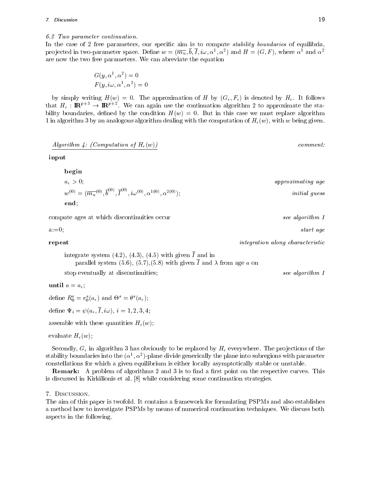## 6.2 Two parameter continuation.

In the case of 2 free parameters, our specific aim is to compute *stability boundaries* of equilibria, pro jected in two-parameter space. Define  $w = (m_u, v, I, i\omega, \alpha', \alpha')$  and  $H = (G, F)$ , where  $\alpha$  and  $\alpha$ are now the two free parameters. We can abreviate the equation

$$
G(y, \alpha^1, \alpha^2) = 0
$$
  
F(y, i\omega, \alpha^1, \alpha^2) = 0

by simply writing  $H(w) = 0$ . The approximation of H by  $(G_{\epsilon}, F_{\epsilon})$  is denoted by  $H_{\epsilon}$ . It follows that  $H_\epsilon: \mathbf{I\!R}^{F+2} \to \mathbf{I\!R}^{F+2}$  . We can again use the continuation algorithm 2 to approximate the stability boundaries, defined by the condition  $H(w) = 0$ . But in this case we must replace algorithm 1 in algorithm 3 by an analogous algorithm dealing with the computation of  $H_e(w)$ , with w being given.

$$
Algorithm 4: (Computation of He(w))
$$

input

begin

$$
a_{\epsilon} > 0;
$$
  
\n
$$
w^{(0)} = (\overline{m_u}^{(0)}, \overline{b}^{(0)}, \overline{I}^{(0)}, i\omega^{(0)}, \alpha^{1(0)}, \alpha^{2(0)});
$$
  
\n
$$
and;
$$
  
\n
$$
and;
$$
  
\n
$$
a\nu^{\text{oproximating age}}
$$
  
\n
$$
initial guess
$$

compute ages at which discontinuities occur see algorithm 1

a:=0; start agency  $\mathbf{d}$ 

## **repeat** integration along characteristic

integrate system (4.2), (4.3), (4.5) with given  $\overline{I}$  and in parallel system (5.6), (5.7),(5.8) with given  $\overline{I}$  and  $\lambda$  from age a on

stop eventually at discontinuities; see algorithm 1

until  $a = a_{\epsilon}$ ;

define  $n_0 = r_0(a_\epsilon)$  and  $\sigma^2 = \sigma^2(a_\epsilon)$ ;

define  $\Psi_i = \psi(a_\epsilon, \overline{I}, i\omega), i = 1, 2, 3, 4;$ 

assemble with these quantities  $H_{\epsilon}(w)$ ;

evaluate  $H_{\epsilon}(w)$ ;

Secondly,  $G_{\epsilon}$  in algorithm 3 has obviously to be replaced by  $H_{\epsilon}$  everywhere. The projections of the stability boundaries linto the  $(\alpha^*,\alpha^-)$ -plane divide generically the plane into subregions with parameter constellations for which a given equilibrium is either locally asymptotically stable or unstable.

**Remark:** A problem of algorithms 2 and 3 is to find a first point on the respective curves. This is discussed in Kirkilionis et al. [8] while considering some continuation strategies.

## 7. Discussion.

The aim of this paper is twofold. It contains a framework for formulating PSPMs and also establishes a method how to investigate PSPMs by means of numerical continuation techniques. We discuss both aspects in the following.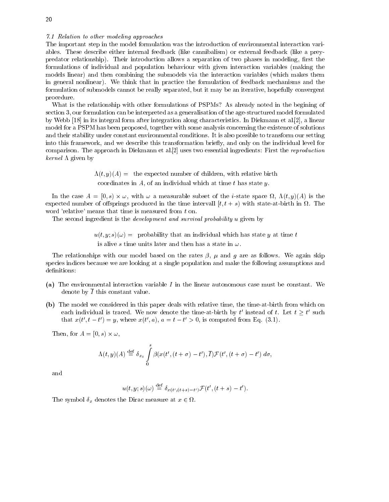#### 7.1 Relation to other modeling approaches

The important step in the model formulation was the introduction of environmental interaction variables. These describe either internal feedback (like cannibalism) or external feedback (like a preypredator relationship). Their introduction allows a separation of two phases in modeling, first the formulations of individual and population behaviour with given interaction variables (making the models linear) and then combining the submodels via the interaction variables (which makes them in general nonlinear). We think that in practice the formulation of feedback mechanisms and the formulation of submodels cannot be really separated, but it may be an iterative, hopefully convergent procedure.

What is the relationship with other formulations of PSPMs? As already noted in the begining of section 3, our formulation can be interpreted as a generalisation of the age-structured model formulated by Webb [18] in its integral form after integration along characteristics. In Diekmann et al.[2], a linear model for a PSPM has been proposed, together with some analysis concerning the existence of solutions and their stability under constant environmental conditions. It is also possible to transform our setting into this framework, and we describe this transformation briefly, and only on the individual level for comparison. The approach in Diekmann et al.[2] uses two essential ingredients: First the reproduction *kernel*  $\Lambda$  given by

> $\Lambda(t, y)(A) =$  the expected number of children, with relative birth coordinates in  $A$ , of an individual which at time  $t$  has state  $y$ .

 $\mathbf{1} = \mathbf{1} \cdot \mathbf{1}$  , with  $\mathbf{1} = \mathbf{1} \cdot \mathbf{1}$  is the i-state space space space space space space space space space space space space space space space space space space space space space space space space space s expected number of the product produced in the time intervalled intervalled  $\mathcal{F}_{t}$  with state-at-birth in the time in the stateword 'relative' means that time is measured from t on.

The second ingredient is the *development and survival probability u* given by

 $u(t, y; s)(\omega) =$  probability that an individual which has state y at time t is alive s time units later and then has a state in  $\omega$ .

The relationships with our model based on the rates  $\beta$ ,  $\mu$  and g are as follows. We again skip species indices because we are looking at a single population and make the following assumptions and definitions:

- (a) The environmental interaction variable I in the linear autonomous case must be constant. We denote by  $\overline{I}$  this constant value.
- (b) The model we considered in this paper deals with relative time, the time-at-birth from which on each individual is traced. We now denote the time-at-birth by t instead of t. Let  $t \geq t$  such that  $x(t, t-t) = y$ , where  $x(t, a)$ ,  $a = t - t > 0$ , is computed from Eq. (3.1).

Then, for A = [0; s) !,

$$
\Lambda(t,y)(A) \stackrel{\text{def}}{=} \delta_{x_0} \int\limits_0^s \beta(x(t',(t+\sigma)-t'),\overline{I}) \mathcal{F}(t',(t+\sigma)-t')\ d\sigma,
$$

and

$$
u(t,y;s)(\omega) \stackrel{\text{def}}{=} \delta_{x(t',(t+s)-t')} \mathcal{F}(t',(t+s)-t').
$$

The symbol  $\omega$  and  $\omega$  at  $\omega$  at  $\omega$  at  $\omega$  at  $\omega$  2  $\omega$  2  $\omega$  2  $\omega$  2  $\omega$  2  $\omega$  2  $\omega$  2  $\omega$  2  $\omega$  2  $\omega$  2  $\omega$  2  $\omega$  2  $\omega$  2  $\omega$  2  $\omega$  2  $\omega$  2  $\omega$  2  $\omega$  2  $\omega$  2  $\omega$  2  $\omega$  2  $\omega$  2  $\omega$  2  $\omega$  2  $\$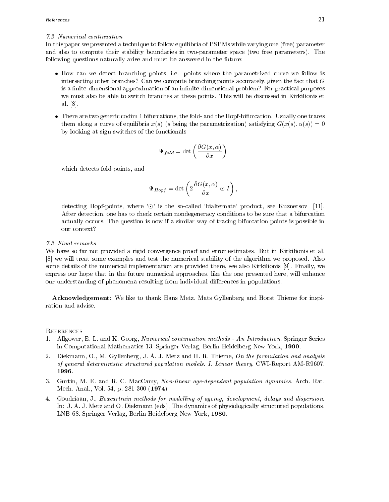## 7.2 Numerical continuation

In this paper we presented a technique to follow equilibria of PSPMs while varying one (free) parameter and also to compute their stability boundaries in two-parameter space (two free parameters). The following questions naturally arise and must be answered in the future:

- How can we detect branching points, i.e. points where the parametrized curve we follow is intersecting other branches? Can we compute branching points accurately, given the fact that  $G$ is a finite-dimensional approximation of an infinite-dimensional problem? For practical purposes we must also be able to switch branches at these points. This will be discussed in Kirkilionis et al. [8].
- There are two generic codim 1 bifurcations, the fold- and the Hopf-bifurcation. Usually one traces them along a curve of equilibria  $x(s)$  (s being the parametrization) satisfying  $G(x(s), \alpha(s)) = 0$ by looking at sign-switches of the functionals

$$
\Psi_{fold} = \det \left( \frac{\partial G(x, \alpha)}{\partial x} \right)
$$

which detects fold-points, and

$$
\Psi_{Hopf}=\det\left(2\frac{\partial G(x,\alpha)}{\partial x}\odot I\right),
$$

detecting Hopf-points, where ' $\odot$ ' is the so-called 'bialternate' product, see Kuznetsov [11]. After detection, one has to check certain nondegeneracy conditions to be sure that a bifurcation actually occurs. The question is now if a similar way of tracing bifurcation points is possible in our context?

## 7.3 Final remarks

We have so far not provided a rigid convergence proof and error estimates. But in Kirkilionis et al. [8] we will treat some examples and test the numerical stability of the algorithm we proposed. Also some details of the numerical implementation are provided there, see also Kirkilionis [9]. Finally, we express our hope that in the future numerical approaches, like the one presented here, will enhance our understanding of phenomena resulting from individual differences in populations.

Acknowledgement: We like to thank Hans Metz, Mats Gyllenberg and Horst Thieme for inspiration and advise.

## **REFERENCES**

- 1. Allgower, E. L. and K. Georg, Numerical continuation methods An Introduction. Springer Series in Computational Mathematics 13. Springer-Verlag, Berlin Heidelberg New York, 1990.
- 2. Diekmann, O., M. Gyllenberg, J. A. J. Metz and H. R. Thieme, On the formulation and analysis of general deterministic structured population models. I. Linear theory. CWI-Report AM-R9607, 1996.
- 3. Gurtin, M. E. and R. C. MacCamy, Non-linear age-dependent population dynamics. Arch. Rat. Mech. Anal., Vol. 54, p. 281-300 (1974)
- 4. Goudriaan, J., Boxcartrain methods for modelling of ageing, development, delays and dispersion. In: J. A. J. Metz and O. Diekmann (eds), The dynamics of physiologically structured populations. LNB 68. Springer-Verlag, Berlin Heidelberg New York, 1980.